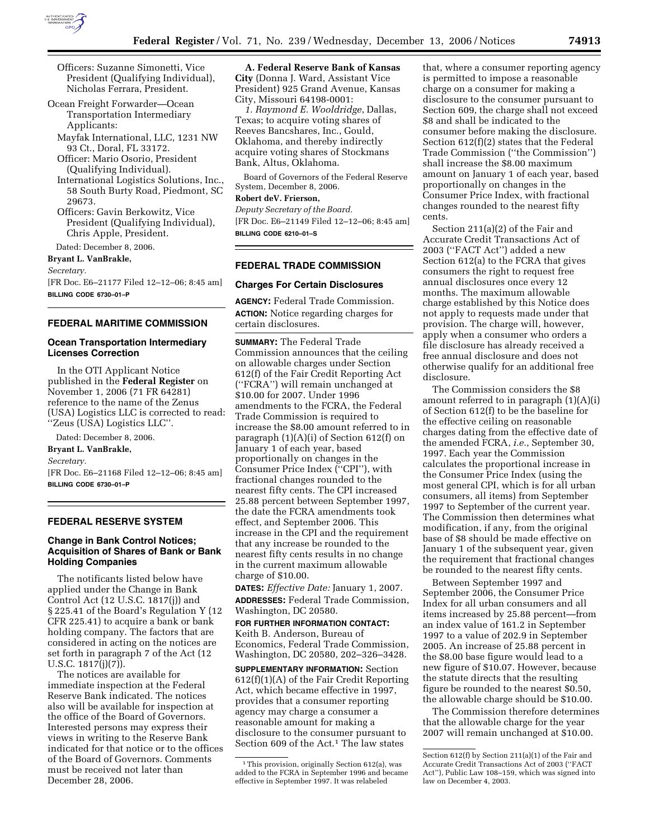

- Officers: Suzanne Simonetti, Vice President (Qualifying Individual), Nicholas Ferrara, President.
- Ocean Freight Forwarder—Ocean Transportation Intermediary Applicants:
	- Mayfak International, LLC, 1231 NW 93 Ct., Doral, FL 33172.
	- Officer: Mario Osorio, President (Qualifying Individual).
	- International Logistics Solutions, Inc., 58 South Burty Road, Piedmont, SC 29673.
	- Officers: Gavin Berkowitz, Vice President (Qualifying Individual), Chris Apple, President.

Dated: December 8, 2006.

**Bryant L. VanBrakle,** 

*Secretary.* 

[FR Doc. E6–21177 Filed 12–12–06; 8:45 am] **BILLING CODE 6730–01–P** 

## **FEDERAL MARITIME COMMISSION**

### **Ocean Transportation Intermediary Licenses Correction**

In the OTI Applicant Notice published in the **Federal Register** on November 1, 2006 (71 FR 64281) reference to the name of the Zenus (USA) Logistics LLC is corrected to read: ''Zeus (USA) Logistics LLC''.

Dated: December 8, 2006. **Bryant L. VanBrakle,**  *Secretary.*  [FR Doc. E6–21168 Filed 12–12–06; 8:45 am] **BILLING CODE 6730–01–P** 

#### **FEDERAL RESERVE SYSTEM**

## **Change in Bank Control Notices; Acquisition of Shares of Bank or Bank Holding Companies**

The notificants listed below have applied under the Change in Bank Control Act (12 U.S.C. 1817(j)) and § 225.41 of the Board's Regulation Y (12 CFR 225.41) to acquire a bank or bank holding company. The factors that are considered in acting on the notices are set forth in paragraph 7 of the Act (12 U.S.C. 1817(j)(7)).

The notices are available for immediate inspection at the Federal Reserve Bank indicated. The notices also will be available for inspection at the office of the Board of Governors. Interested persons may express their views in writing to the Reserve Bank indicated for that notice or to the offices of the Board of Governors. Comments must be received not later than December 28, 2006.

**A. Federal Reserve Bank of Kansas City** (Donna J. Ward, Assistant Vice President) 925 Grand Avenue, Kansas City, Missouri 64198-0001:

*1. Raymond E. Wooldridge*, Dallas, Texas; to acquire voting shares of Reeves Bancshares, Inc., Gould, Oklahoma, and thereby indirectly acquire voting shares of Stockmans Bank, Altus, Oklahoma.

Board of Governors of the Federal Reserve System, December 8, 2006.

#### **Robert deV. Frierson,**

*Deputy Secretary of the Board.*  [FR Doc. E6–21149 Filed 12–12–06; 8:45 am] **BILLING CODE 6210–01–S** 

#### **FEDERAL TRADE COMMISSION**

#### **Charges For Certain Disclosures**

**AGENCY:** Federal Trade Commission. **ACTION:** Notice regarding charges for certain disclosures.

**SUMMARY:** The Federal Trade Commission announces that the ceiling on allowable charges under Section 612(f) of the Fair Credit Reporting Act (''FCRA'') will remain unchanged at \$10.00 for 2007. Under 1996 amendments to the FCRA, the Federal Trade Commission is required to increase the \$8.00 amount referred to in paragraph (1)(A)(i) of Section 612(f) on January 1 of each year, based proportionally on changes in the Consumer Price Index (''CPI''), with fractional changes rounded to the nearest fifty cents. The CPI increased 25.88 percent between September 1997, the date the FCRA amendments took effect, and September 2006. This increase in the CPI and the requirement that any increase be rounded to the nearest fifty cents results in no change in the current maximum allowable charge of \$10.00.

**DATES:** *Effective Date:* January 1, 2007. **ADDRESSES:** Federal Trade Commission, Washington, DC 20580.

## **FOR FURTHER INFORMATION CONTACT:**  Keith B. Anderson, Bureau of Economics, Federal Trade Commission, Washington, DC 20580, 202–326–3428.

**SUPPLEMENTARY INFORMATION:** Section 612(f)(1)(A) of the Fair Credit Reporting Act, which became effective in 1997, provides that a consumer reporting agency may charge a consumer a reasonable amount for making a disclosure to the consumer pursuant to Section 609 of the Act.<sup>1</sup> The law states

that, where a consumer reporting agency is permitted to impose a reasonable charge on a consumer for making a disclosure to the consumer pursuant to Section 609, the charge shall not exceed \$8 and shall be indicated to the consumer before making the disclosure. Section 612(f)(2) states that the Federal Trade Commission (''the Commission'') shall increase the \$8.00 maximum amount on January 1 of each year, based proportionally on changes in the Consumer Price Index, with fractional changes rounded to the nearest fifty cents.

Section 211(a)(2) of the Fair and Accurate Credit Transactions Act of 2003 (''FACT Act'') added a new Section 612(a) to the FCRA that gives consumers the right to request free annual disclosures once every 12 months. The maximum allowable charge established by this Notice does not apply to requests made under that provision. The charge will, however, apply when a consumer who orders a file disclosure has already received a free annual disclosure and does not otherwise qualify for an additional free disclosure.

The Commission considers the \$8 amount referred to in paragraph (1)(A)(i) of Section 612(f) to be the baseline for the effective ceiling on reasonable charges dating from the effective date of the amended FCRA, *i.e.*, September 30, 1997. Each year the Commission calculates the proportional increase in the Consumer Price Index (using the most general CPI, which is for all urban consumers, all items) from September 1997 to September of the current year. The Commission then determines what modification, if any, from the original base of \$8 should be made effective on January 1 of the subsequent year, given the requirement that fractional changes be rounded to the nearest fifty cents.

Between September 1997 and September 2006, the Consumer Price Index for all urban consumers and all items increased by 25.88 percent—from an index value of 161.2 in September 1997 to a value of 202.9 in September 2005. An increase of 25.88 percent in the \$8.00 base figure would lead to a new figure of \$10.07. However, because the statute directs that the resulting figure be rounded to the nearest \$0.50, the allowable charge should be \$10.00.

The Commission therefore determines that the allowable charge for the year 2007 will remain unchanged at \$10.00.

<sup>&</sup>lt;sup>1</sup>This provision, originally Section 612(a), was added to the FCRA in September 1996 and became effective in September 1997. It was relabeled

Section 612(f) by Section 211(a)(1) of the Fair and Accurate Credit Transactions Act of 2003 (''FACT Act''), Public Law 108–159, which was signed into law on December 4, 2003.